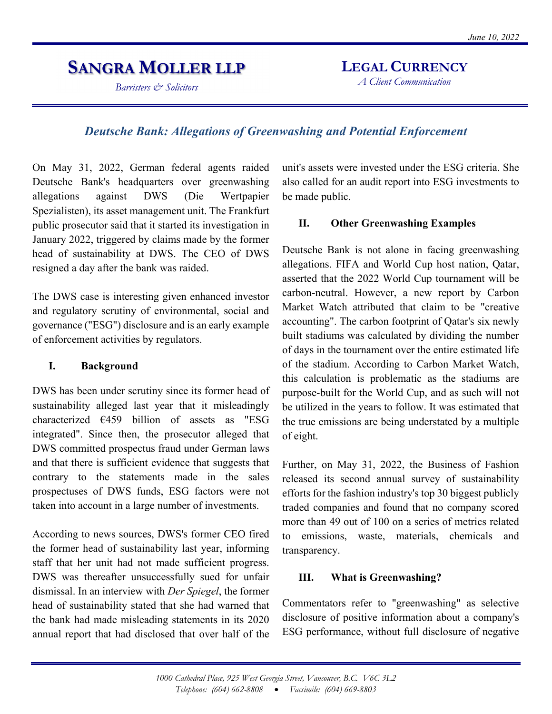# **SANGRA MOLLER LLP**

*Barristers & Solicitors* 

# **LEGAL CURRENCY**

*A Client Communication*

## *Deutsche Bank: Allegations of Greenwashing and Potential Enforcement*

On May 31, 2022, German federal agents raided Deutsche Bank's headquarters over greenwashing allegations against DWS (Die Wertpapier Spezialisten), its asset management unit. The Frankfurt public prosecutor said that it started its investigation in January 2022, triggered by claims made by the former head of sustainability at DWS. The CEO of DWS resigned a day after the bank was raided.

The DWS case is interesting given enhanced investor and regulatory scrutiny of environmental, social and governance ("ESG") disclosure and is an early example of enforcement activities by regulators.

#### **I. Background**

DWS has been under scrutiny since its former head of sustainability alleged last year that it misleadingly characterized €459 billion of assets as "ESG integrated". Since then, the prosecutor alleged that DWS committed prospectus fraud under German laws and that there is sufficient evidence that suggests that contrary to the statements made in the sales prospectuses of DWS funds, ESG factors were not taken into account in a large number of investments.

According to news sources, DWS's former CEO fired the former head of sustainability last year, informing staff that her unit had not made sufficient progress. DWS was thereafter unsuccessfully sued for unfair dismissal. In an interview with *Der Spiegel*, the former head of sustainability stated that she had warned that the bank had made misleading statements in its 2020 annual report that had disclosed that over half of the unit's assets were invested under the ESG criteria. She also called for an audit report into ESG investments to be made public.

#### **II. Other Greenwashing Examples**

Deutsche Bank is not alone in facing greenwashing allegations. FIFA and World Cup host nation, Qatar, asserted that the 2022 World Cup tournament will be carbon-neutral. However, a new report by Carbon Market Watch attributed that claim to be "creative accounting". The carbon footprint of Qatar's six newly built stadiums was calculated by dividing the number of days in the tournament over the entire estimated life of the stadium. According to Carbon Market Watch, this calculation is problematic as the stadiums are purpose-built for the World Cup, and as such will not be utilized in the years to follow. It was estimated that the true emissions are being understated by a multiple of eight.

Further, on May 31, 2022, the Business of Fashion released its second annual survey of sustainability efforts for the fashion industry's top 30 biggest publicly traded companies and found that no company scored more than 49 out of 100 on a series of metrics related to emissions, waste, materials, chemicals and transparency.

#### **III. What is Greenwashing?**

Commentators refer to "greenwashing" as selective disclosure of positive information about a company's ESG performance, without full disclosure of negative